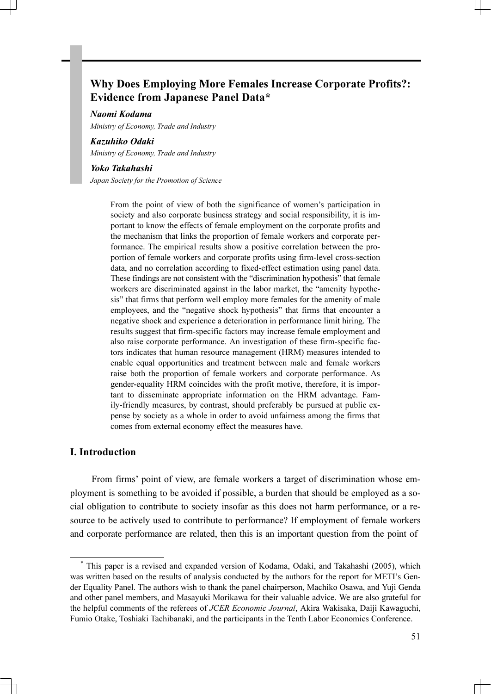# Why Does Employing More Females Increase Corporate Profits?: Evidence from Japanese Panel Data\*

#### Naomi Kodama

Ministry of Economy, Trade and Industry

#### Kazuhiko Odaki

Ministry of Economy, Trade and Industry

#### Yoko Takahashi

Japan Society for the Promotion of Science

From the point of view of both the significance of women's participation in society and also corporate business strategy and social responsibility, it is important to know the effects of female employment on the corporate profits and the mechanism that links the proportion of female workers and corporate performance. The empirical results show a positive correlation between the proportion of female workers and corporate profits using firm-level cross-section data, and no correlation according to fixed-effect estimation using panel data. These findings are not consistent with the "discrimination hypothesis" that female workers are discriminated against in the labor market, the "amenity hypothesis" that firms that perform well employ more females for the amenity of male employees, and the "negative shock hypothesis" that firms that encounter a negative shock and experience a deterioration in performance limit hiring. The results suggest that firm-specific factors may increase female employment and also raise corporate performance. An investigation of these firm-specific factors indicates that human resource management (HRM) measures intended to enable equal opportunities and treatment between male and female workers raise both the proportion of female workers and corporate performance. As gender-equality HRM coincides with the profit motive, therefore, it is important to disseminate appropriate information on the HRM advantage. Family-friendly measures, by contrast, should preferably be pursued at public expense by society as a whole in order to avoid unfairness among the firms that comes from external economy effect the measures have.

# I. Introduction

 From firms' point of view, are female workers a target of discrimination whose employment is something to be avoided if possible, a burden that should be employed as a social obligation to contribute to society insofar as this does not harm performance, or a resource to be actively used to contribute to performance? If employment of female workers and corporate performance are related, then this is an important question from the point of

<sup>1</sup>\* This paper is a revised and expanded version of Kodama, Odaki, and Takahashi (2005), which was written based on the results of analysis conducted by the authors for the report for METI's Gender Equality Panel. The authors wish to thank the panel chairperson, Machiko Osawa, and Yuji Genda and other panel members, and Masayuki Morikawa for their valuable advice. We are also grateful for the helpful comments of the referees of JCER Economic Journal, Akira Wakisaka, Daiji Kawaguchi, Fumio Otake, Toshiaki Tachibanaki, and the participants in the Tenth Labor Economics Conference.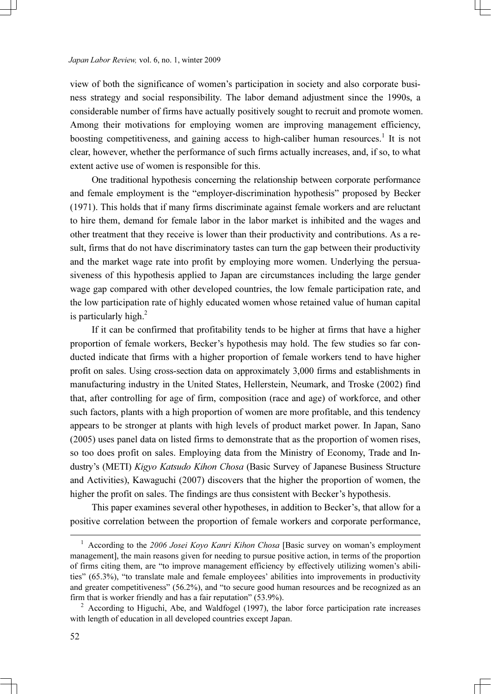view of both the significance of women's participation in society and also corporate business strategy and social responsibility. The labor demand adjustment since the 1990s, a considerable number of firms have actually positively sought to recruit and promote women. Among their motivations for employing women are improving management efficiency, boosting competitiveness, and gaining access to high-caliber human resources.<sup>1</sup> It is not clear, however, whether the performance of such firms actually increases, and, if so, to what extent active use of women is responsible for this.

 One traditional hypothesis concerning the relationship between corporate performance and female employment is the "employer-discrimination hypothesis" proposed by Becker (1971). This holds that if many firms discriminate against female workers and are reluctant to hire them, demand for female labor in the labor market is inhibited and the wages and other treatment that they receive is lower than their productivity and contributions. As a result, firms that do not have discriminatory tastes can turn the gap between their productivity and the market wage rate into profit by employing more women. Underlying the persuasiveness of this hypothesis applied to Japan are circumstances including the large gender wage gap compared with other developed countries, the low female participation rate, and the low participation rate of highly educated women whose retained value of human capital is particularly high. $^{2}$ 

 If it can be confirmed that profitability tends to be higher at firms that have a higher proportion of female workers, Becker's hypothesis may hold. The few studies so far conducted indicate that firms with a higher proportion of female workers tend to have higher profit on sales. Using cross-section data on approximately 3,000 firms and establishments in manufacturing industry in the United States, Hellerstein, Neumark, and Troske (2002) find that, after controlling for age of firm, composition (race and age) of workforce, and other such factors, plants with a high proportion of women are more profitable, and this tendency appears to be stronger at plants with high levels of product market power. In Japan, Sano (2005) uses panel data on listed firms to demonstrate that as the proportion of women rises, so too does profit on sales. Employing data from the Ministry of Economy, Trade and Industry's (METI) Kigyo Katsudo Kihon Chosa (Basic Survey of Japanese Business Structure and Activities), Kawaguchi (2007) discovers that the higher the proportion of women, the higher the profit on sales. The findings are thus consistent with Becker's hypothesis.

 This paper examines several other hypotheses, in addition to Becker's, that allow for a positive correlation between the proportion of female workers and corporate performance,

 $\frac{1}{1}$ <sup>1</sup> According to the 2006 Josei Kovo Kanri Kihon Chosa [Basic survey on woman's employment management], the main reasons given for needing to pursue positive action, in terms of the proportion of firms citing them, are "to improve management efficiency by effectively utilizing women's abilities" (65.3%), "to translate male and female employees' abilities into improvements in productivity and greater competitiveness" (56.2%), and "to secure good human resources and be recognized as an firm that is worker friendly and has a fair reputation" (53.9%).

 $A<sup>2</sup>$  According to Higuchi, Abe, and Waldfogel (1997), the labor force participation rate increases with length of education in all developed countries except Japan.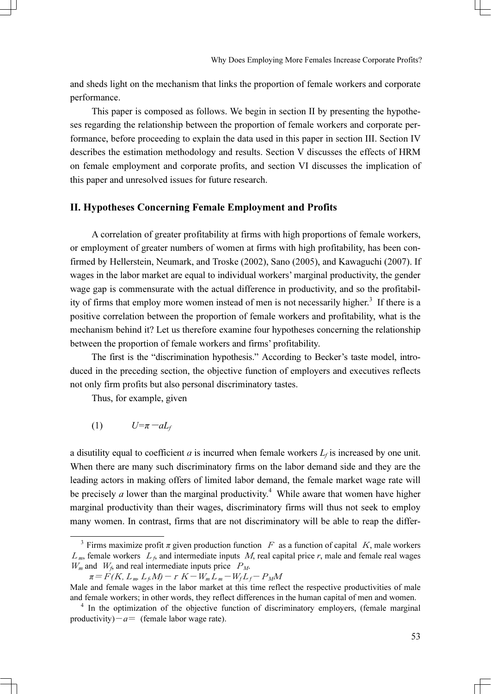and sheds light on the mechanism that links the proportion of female workers and corporate performance.

 This paper is composed as follows. We begin in section II by presenting the hypotheses regarding the relationship between the proportion of female workers and corporate performance, before proceeding to explain the data used in this paper in section III. Section IV describes the estimation methodology and results. Section V discusses the effects of HRM on female employment and corporate profits, and section VI discusses the implication of this paper and unresolved issues for future research.

# II. Hypotheses Concerning Female Employment and Profits

A correlation of greater profitability at firms with high proportions of female workers, or employment of greater numbers of women at firms with high profitability, has been confirmed by Hellerstein, Neumark, and Troske (2002), Sano (2005), and Kawaguchi (2007). If wages in the labor market are equal to individual workers' marginal productivity, the gender wage gap is commensurate with the actual difference in productivity, and so the profitability of firms that employ more women instead of men is not necessarily higher.<sup>3</sup> If there is a positive correlation between the proportion of female workers and profitability, what is the mechanism behind it? Let us therefore examine four hypotheses concerning the relationship between the proportion of female workers and firms' profitability.

 The first is the "discrimination hypothesis." According to Becker's taste model, introduced in the preceding section, the objective function of employers and executives reflects not only firm profits but also personal discriminatory tastes. The first is the "disc<br>
l in the preceding section<br>
l in the preceding section<br>
l Thus, for example, g<br>
(1)  $U=\pi - aL_f$ 

Thus, for example, given

$$
(1) \tU = \pi - aL_f
$$

a disutility equal to coefficient a is incurred when female workers  $L_f$  is increased by one unit. When there are many such discriminatory firms on the labor demand side and they are the leading actors in making offers of limited labor demand, the female market wage rate will be precisely *a* lower than the marginal productivity.<sup>4</sup> While aware that women have higher marginal productivity than their wages, discriminatory firms will thus not seek to employ many women. In contrast, firms that are not discriminatory will be able to reap the differ-

<sup>&</sup>lt;sup>3</sup> Firms maximize profit  $\pi$  given production function F as a function of capital K, male workers  $L_m$ , female workers  $L_f$ , and intermediate inputs M, real capital price r, male and female real wages  $W_m$  and  $W_f$ , and real intermediate inputs price  $P_M$ .

 $\pi = F(K, L_m, L_f M) - r K - W_m L_m - W_f L_f - P_M M$ 

Male and female wages in the labor market at this time reflect the respective productivities of male and female workers; in other words, they reflect differences in the human capital of men and women. <sup>4</sup>

 $<sup>4</sup>$  In the optimization of the objective function of discriminatory employers, (female marginal</sup> productivity) $-a=$  (female labor wage rate).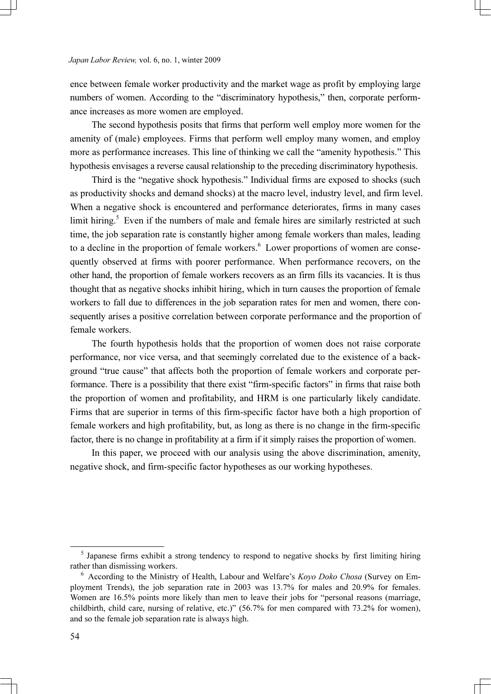ence between female worker productivity and the market wage as profit by employing large numbers of women. According to the "discriminatory hypothesis," then, corporate performance increases as more women are employed.

 The second hypothesis posits that firms that perform well employ more women for the amenity of (male) employees. Firms that perform well employ many women, and employ more as performance increases. This line of thinking we call the "amenity hypothesis." This hypothesis envisages a reverse causal relationship to the preceding discriminatory hypothesis.

 Third is the "negative shock hypothesis." Individual firms are exposed to shocks (such as productivity shocks and demand shocks) at the macro level, industry level, and firm level. When a negative shock is encountered and performance deteriorates, firms in many cases limit hiring.<sup>5</sup> Even if the numbers of male and female hires are similarly restricted at such time, the job separation rate is constantly higher among female workers than males, leading to a decline in the proportion of female workers.<sup>6</sup> Lower proportions of women are consequently observed at firms with poorer performance. When performance recovers, on the other hand, the proportion of female workers recovers as an firm fills its vacancies. It is thus thought that as negative shocks inhibit hiring, which in turn causes the proportion of female workers to fall due to differences in the job separation rates for men and women, there consequently arises a positive correlation between corporate performance and the proportion of female workers.

 The fourth hypothesis holds that the proportion of women does not raise corporate performance, nor vice versa, and that seemingly correlated due to the existence of a background "true cause" that affects both the proportion of female workers and corporate performance. There is a possibility that there exist "firm-specific factors" in firms that raise both the proportion of women and profitability, and HRM is one particularly likely candidate. Firms that are superior in terms of this firm-specific factor have both a high proportion of female workers and high profitability, but, as long as there is no change in the firm-specific factor, there is no change in profitability at a firm if it simply raises the proportion of women.

 In this paper, we proceed with our analysis using the above discrimination, amenity, negative shock, and firm-specific factor hypotheses as our working hypotheses.

 $<sup>5</sup>$  Japanese firms exhibit a strong tendency to respond to negative shocks by first limiting hiring</sup> rather than dismissing workers.

 $6$  According to the Ministry of Health, Labour and Welfare's *Koyo Doko Chosa* (Survey on Employment Trends), the job separation rate in 2003 was 13.7% for males and 20.9% for females. Women are 16.5% points more likely than men to leave their jobs for "personal reasons (marriage, childbirth, child care, nursing of relative, etc.)" (56.7% for men compared with 73.2% for women), and so the female job separation rate is always high.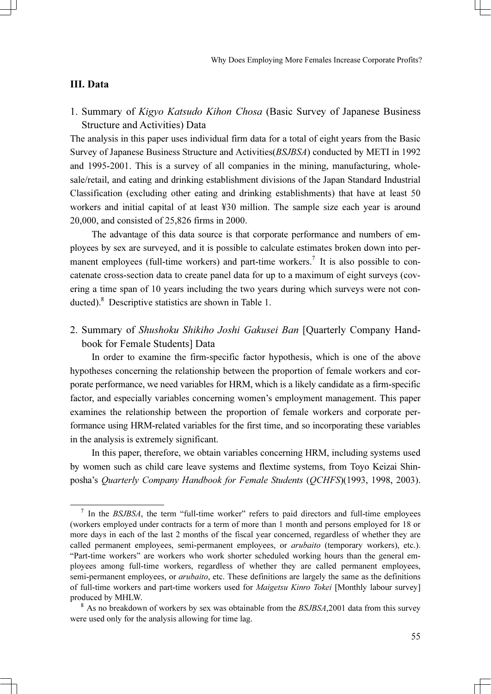# III. Data

1. Summary of Kigyo Katsudo Kihon Chosa (Basic Survey of Japanese Business Structure and Activities) Data

The analysis in this paper uses individual firm data for a total of eight years from the Basic Survey of Japanese Business Structure and Activities(BSJBSA) conducted by METI in 1992 and 1995-2001. This is a survey of all companies in the mining, manufacturing, wholesale/retail, and eating and drinking establishment divisions of the Japan Standard Industrial Classification (excluding other eating and drinking establishments) that have at least 50 workers and initial capital of at least ¥30 million. The sample size each year is around 20,000, and consisted of 25,826 firms in 2000.

 The advantage of this data source is that corporate performance and numbers of employees by sex are surveyed, and it is possible to calculate estimates broken down into permanent employees (full-time workers) and part-time workers.<sup>7</sup> It is also possible to concatenate cross-section data to create panel data for up to a maximum of eight surveys (covering a time span of 10 years including the two years during which surveys were not conducted).<sup>8</sup> Descriptive statistics are shown in Table 1.

2. Summary of Shushoku Shikiho Joshi Gakusei Ban [Quarterly Company Handbook for Female Students] Data

In order to examine the firm-specific factor hypothesis, which is one of the above hypotheses concerning the relationship between the proportion of female workers and corporate performance, we need variables for HRM, which is a likely candidate as a firm-specific factor, and especially variables concerning women's employment management. This paper examines the relationship between the proportion of female workers and corporate performance using HRM-related variables for the first time, and so incorporating these variables in the analysis is extremely significant.

 In this paper, therefore, we obtain variables concerning HRM, including systems used by women such as child care leave systems and flextime systems, from Toyo Keizai Shinposha's Quarterly Company Handbook for Female Students (QCHFS)(1993, 1998, 2003).

If In the BSJBSA, the term "full-time worker" refers to paid directors and full-time employees (workers employed under contracts for a term of more than 1 month and persons employed for 18 or more days in each of the last 2 months of the fiscal year concerned, regardless of whether they are called permanent employees, semi-permanent employees, or *arubaito* (temporary workers), etc.). "Part-time workers" are workers who work shorter scheduled working hours than the general employees among full-time workers, regardless of whether they are called permanent employees, semi-permanent employees, or *arubaito*, etc. These definitions are largely the same as the definitions of full-time workers and part-time workers used for *Maigetsu Kinro Tokei* [Monthly labour survey] produced by MHLW.

 $8$  As no breakdown of workers by sex was obtainable from the *BSJBSA*,2001 data from this survey were used only for the analysis allowing for time lag.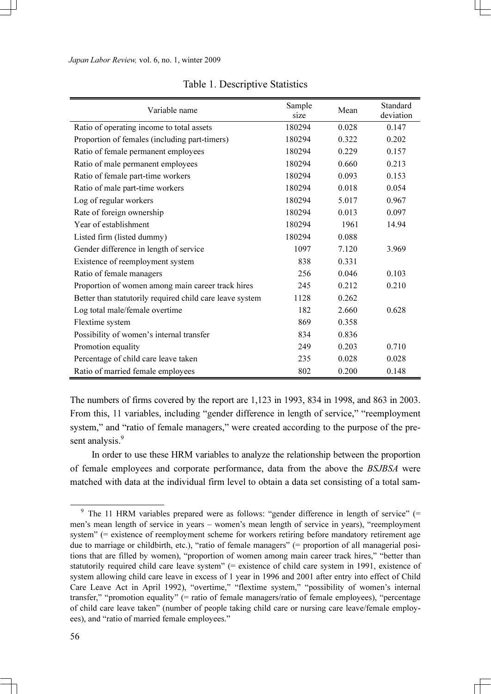| Variable name                                            | Sample<br>size | Mean  | Standard<br>deviation |
|----------------------------------------------------------|----------------|-------|-----------------------|
| Ratio of operating income to total assets                | 180294         | 0.028 | 0.147                 |
| Proportion of females (including part-timers)            | 180294         | 0.322 | 0.202                 |
| Ratio of female permanent employees                      | 180294         | 0.229 | 0.157                 |
| Ratio of male permanent employees                        | 180294         | 0.660 | 0.213                 |
| Ratio of female part-time workers                        | 180294         | 0.093 | 0.153                 |
| Ratio of male part-time workers                          | 180294         | 0.018 | 0.054                 |
| Log of regular workers                                   | 180294         | 5.017 | 0.967                 |
| Rate of foreign ownership                                | 180294         | 0.013 | 0.097                 |
| Year of establishment                                    | 180294         | 1961  | 14.94                 |
| Listed firm (listed dummy)                               | 180294         | 0.088 |                       |
| Gender difference in length of service                   | 1097           | 7.120 | 3.969                 |
| Existence of reemployment system                         | 838            | 0.331 |                       |
| Ratio of female managers                                 | 256            | 0.046 | 0.103                 |
| Proportion of women among main career track hires        | 245            | 0.212 | 0.210                 |
| Better than statutorily required child care leave system | 1128           | 0.262 |                       |
| Log total male/female overtime                           | 182            | 2.660 | 0.628                 |
| Flextime system                                          | 869            | 0.358 |                       |
| Possibility of women's internal transfer                 | 834            | 0.836 |                       |
| Promotion equality                                       | 249            | 0.203 | 0.710                 |
| Percentage of child care leave taken                     | 235            | 0.028 | 0.028                 |
| Ratio of married female employees                        | 802            | 0.200 | 0.148                 |

### Table 1. Descriptive Statistics

The numbers of firms covered by the report are 1,123 in 1993, 834 in 1998, and 863 in 2003. From this, 11 variables, including "gender difference in length of service," "reemployment system," and "ratio of female managers," were created according to the purpose of the present analysis.<sup>9</sup>

 In order to use these HRM variables to analyze the relationship between the proportion of female employees and corporate performance, data from the above the BSJBSA were matched with data at the individual firm level to obtain a data set consisting of a total sam-

 $9$  The 11 HRM variables prepared were as follows: "gender difference in length of service" (= men's mean length of service in years – women's mean length of service in years), "reemployment system" (= existence of reemployment scheme for workers retiring before mandatory retirement age due to marriage or childbirth, etc.), "ratio of female managers" (= proportion of all managerial positions that are filled by women), "proportion of women among main career track hires," "better than statutorily required child care leave system" (= existence of child care system in 1991, existence of system allowing child care leave in excess of 1 year in 1996 and 2001 after entry into effect of Child Care Leave Act in April 1992), "overtime," "flextime system," "possibility of women's internal transfer," "promotion equality" (= ratio of female managers/ratio of female employees), "percentage of child care leave taken" (number of people taking child care or nursing care leave/female employees), and "ratio of married female employees."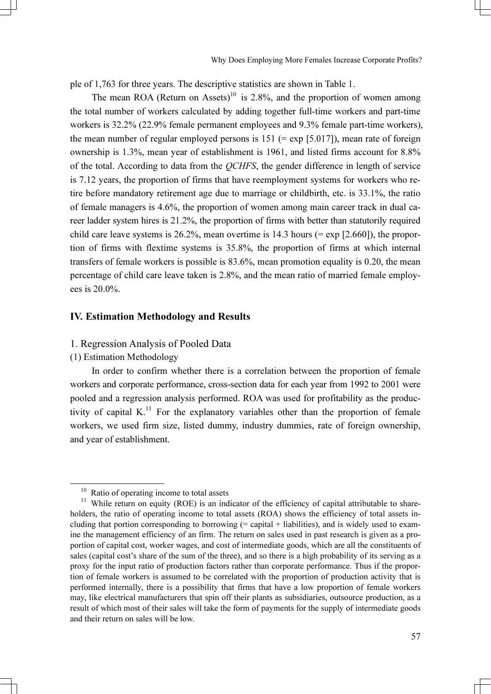ple of 1,763 for three years. The descriptive statistics are shown in Table 1.

The mean ROA (Return on Assets)<sup>10</sup> is 2.8%, and the proportion of women among the total number of workers calculated by adding together full-time workers and part-time workers is 32.2% (22.9% female permanent employees and 9.3% female part-time workers), the mean number of regular employed persons is  $151$  (= exp [5.017]), mean rate of foreign ownership is 1.3%, mean year of establishment is 1961, and listed firms account for 8.8% of the total. According to data from the QCHFS, the gender difference in length of service is 7.12 years, the proportion of firms that have reemployment systems for workers who retire before mandatory retirement age due to marriage or childbirth, etc. is 33.1%, the ratio of female managers is 4.6%, the proportion of women among main career track in dual career ladder system hires is 21.2%, the proportion of firms with better than statutorily required child care leave systems is 26.2%, mean overtime is 14.3 hours (= exp [2.660]), the proportion of firms with flextime systems is 35.8%, the proportion of firms at which internal transfers of female workers is possible is 83.6%, mean promotion equality is 0.20, the mean percentage of child care leave taken is 2.8%, and the mean ratio of married female employees is 20.0%.

### IV. Estimation Methodology and Results

### 1. Regression Analysis of Pooled Data

(1) Estimation Methodology

In order to confirm whether there is a correlation between the proportion of female workers and corporate performance, cross-section data for each year from 1992 to 2001 were pooled and a regression analysis performed. ROA was used for profitability as the productivity of capital  $K<sup>{11}</sup>$  For the explanatory variables other than the proportion of female workers, we used firm size, listed dummy, industry dummies, rate of foreign ownership, and year of establishment.

 $10$  Ratio of operating income to total assets

<sup>&</sup>lt;sup>11</sup> While return on equity (ROE) is an indicator of the efficiency of capital attributable to shareholders, the ratio of operating income to total assets (ROA) shows the efficiency of total assets including that portion corresponding to borrowing  $(=$  capital  $+$  liabilities), and is widely used to examine the management efficiency of an firm. The return on sales used in past research is given as a proportion of capital cost, worker wages, and cost of intermediate goods, which are all the constituents of sales (capital cost's share of the sum of the three), and so there is a high probability of its serving as a proxy for the input ratio of production factors rather than corporate performance. Thus if the proportion of female workers is assumed to be correlated with the proportion of production activity that is performed internally, there is a possibility that firms that have a low proportion of female workers may, like electrical manufacturers that spin off their plants as subsidiaries, outsource production, as a result of which most of their sales will take the form of payments for the supply of intermediate goods and their return on sales will be low.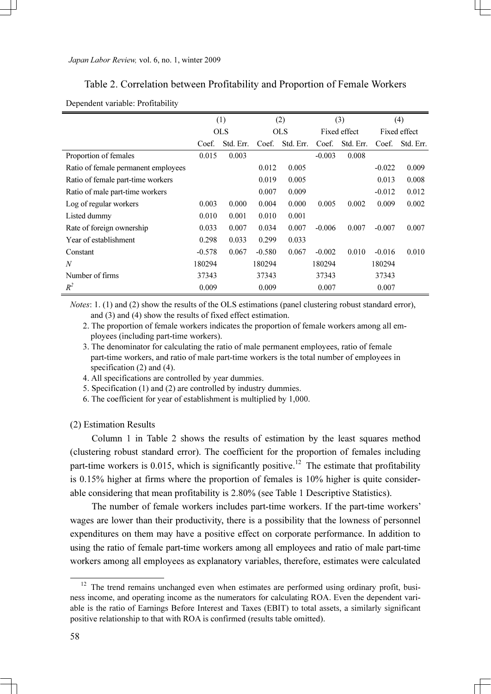# Table 2. Correlation between Profitability and Proportion of Female Workers

|                                     |          | (1)        |          | (2)       |          | (3)          |          | (4)          |
|-------------------------------------|----------|------------|----------|-----------|----------|--------------|----------|--------------|
|                                     |          | <b>OLS</b> |          | OLS.      |          | Fixed effect |          | Fixed effect |
|                                     | Coef.    | Std. Err.  | Coef.    | Std. Err. | Coef.    | Std. Err.    | Coef.    | Std. Err.    |
| Proportion of females               | 0.015    | 0.003      |          |           | $-0.003$ | 0.008        |          |              |
| Ratio of female permanent employees |          |            | 0.012    | 0.005     |          |              | $-0.022$ | 0.009        |
| Ratio of female part-time workers   |          |            | 0.019    | 0.005     |          |              | 0.013    | 0.008        |
| Ratio of male part-time workers     |          |            | 0.007    | 0.009     |          |              | $-0.012$ | 0.012        |
| Log of regular workers              | 0.003    | 0.000      | 0.004    | 0.000     | 0.005    | 0.002        | 0.009    | 0.002        |
| Listed dummy                        | 0.010    | 0.001      | 0.010    | 0.001     |          |              |          |              |
| Rate of foreign ownership           | 0.033    | 0.007      | 0.034    | 0.007     | $-0.006$ | 0.007        | $-0.007$ | 0.007        |
| Year of establishment               | 0.298    | 0.033      | 0.299    | 0.033     |          |              |          |              |
| Constant                            | $-0.578$ | 0.067      | $-0.580$ | 0.067     | $-0.002$ | 0.010        | $-0.016$ | 0.010        |
| N                                   | 180294   |            | 180294   |           | 180294   |              | 180294   |              |
| Number of firms                     | 37343    |            | 37343    |           | 37343    |              | 37343    |              |
| $R^2$                               | 0.009    |            | 0.009    |           | 0.007    |              | 0.007    |              |

#### Dependent variable: Profitability

Notes: 1. (1) and (2) show the results of the OLS estimations (panel clustering robust standard error), and (3) and (4) show the results of fixed effect estimation.

- 2. The proportion of female workers indicates the proportion of female workers among all employees (including part-time workers).
- 3. The denominator for calculating the ratio of male permanent employees, ratio of female part-time workers, and ratio of male part-time workers is the total number of employees in specification (2) and (4).
- 4. All specifications are controlled by year dummies.
- 5. Specification (1) and (2) are controlled by industry dummies.
- 6. The coefficient for year of establishment is multiplied by 1,000.

#### (2) Estimation Results

Column 1 in Table 2 shows the results of estimation by the least squares method (clustering robust standard error). The coefficient for the proportion of females including part-time workers is 0.015, which is significantly positive.<sup>12</sup> The estimate that profitability is 0.15% higher at firms where the proportion of females is 10% higher is quite considerable considering that mean profitability is 2.80% (see Table 1 Descriptive Statistics).

 The number of female workers includes part-time workers. If the part-time workers' wages are lower than their productivity, there is a possibility that the lowness of personnel expenditures on them may have a positive effect on corporate performance. In addition to using the ratio of female part-time workers among all employees and ratio of male part-time workers among all employees as explanatory variables, therefore, estimates were calculated

<sup>&</sup>lt;sup>12</sup> The trend remains unchanged even when estimates are performed using ordinary profit, business income, and operating income as the numerators for calculating ROA. Even the dependent variable is the ratio of Earnings Before Interest and Taxes (EBIT) to total assets, a similarly significant positive relationship to that with ROA is confirmed (results table omitted).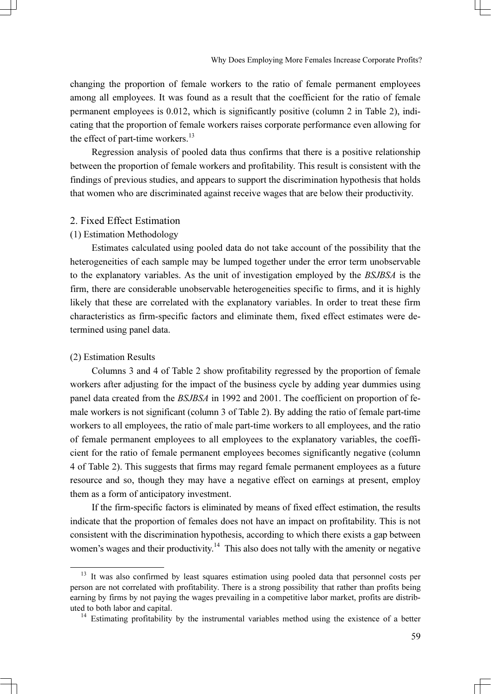changing the proportion of female workers to the ratio of female permanent employees among all employees. It was found as a result that the coefficient for the ratio of female permanent employees is 0.012, which is significantly positive (column 2 in Table 2), indicating that the proportion of female workers raises corporate performance even allowing for the effect of part-time workers.<sup>13</sup>

 Regression analysis of pooled data thus confirms that there is a positive relationship between the proportion of female workers and profitability. This result is consistent with the findings of previous studies, and appears to support the discrimination hypothesis that holds that women who are discriminated against receive wages that are below their productivity.

# 2. Fixed Effect Estimation

### (1) Estimation Methodology

Estimates calculated using pooled data do not take account of the possibility that the heterogeneities of each sample may be lumped together under the error term unobservable to the explanatory variables. As the unit of investigation employed by the BSJBSA is the firm, there are considerable unobservable heterogeneities specific to firms, and it is highly likely that these are correlated with the explanatory variables. In order to treat these firm characteristics as firm-specific factors and eliminate them, fixed effect estimates were determined using panel data.

### (2) Estimation Results

Columns 3 and 4 of Table 2 show profitability regressed by the proportion of female workers after adjusting for the impact of the business cycle by adding year dummies using panel data created from the BSJBSA in 1992 and 2001. The coefficient on proportion of female workers is not significant (column 3 of Table 2). By adding the ratio of female part-time workers to all employees, the ratio of male part-time workers to all employees, and the ratio of female permanent employees to all employees to the explanatory variables, the coefficient for the ratio of female permanent employees becomes significantly negative (column 4 of Table 2). This suggests that firms may regard female permanent employees as a future resource and so, though they may have a negative effect on earnings at present, employ them as a form of anticipatory investment.

 If the firm-specific factors is eliminated by means of fixed effect estimation, the results indicate that the proportion of females does not have an impact on profitability. This is not consistent with the discrimination hypothesis, according to which there exists a gap between women's wages and their productivity.<sup>14</sup> This also does not tally with the amenity or negative

<sup>&</sup>lt;sup>13</sup> It was also confirmed by least squares estimation using pooled data that personnel costs per person are not correlated with profitability. There is a strong possibility that rather than profits being earning by firms by not paying the wages prevailing in a competitive labor market, profits are distributed to both labor and capital. <sup>14</sup> Estimating profitability by the instrumental variables method using the existence of a better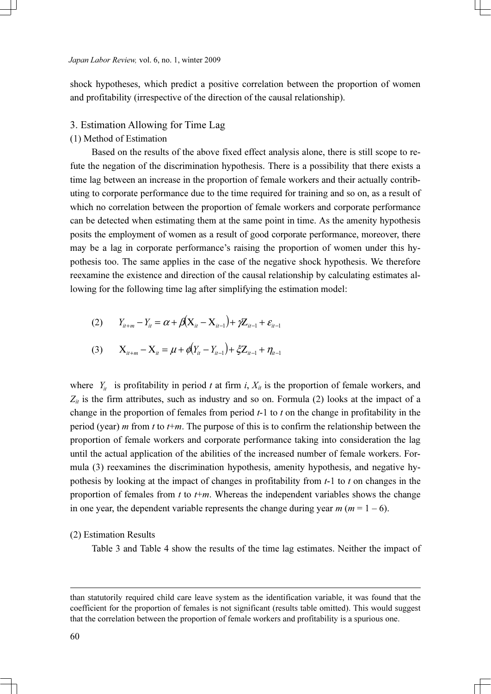shock hypotheses, which predict a positive correlation between the proportion of women and profitability (irrespective of the direction of the causal relationship).

# 3. Estimation Allowing for Time Lag

### (1) Method of Estimation

Based on the results of the above fixed effect analysis alone, there is still scope to refute the negation of the discrimination hypothesis. There is a possibility that there exists a time lag between an increase in the proportion of female workers and their actually contributing to corporate performance due to the time required for training and so on, as a result of which no correlation between the proportion of female workers and corporate performance can be detected when estimating them at the same point in time. As the amenity hypothesis posits the employment of women as a result of good corporate performance, moreover, there may be a lag in corporate performance's raising the proportion of women under this hypothesis too. The same applies in the case of the negative shock hypothesis. We therefore reexamine the existence and direction of the causal relationship by calculating estimates allowing for the following time lag after simplifying the estimation model:

(2) 
$$
Y_{it+m} - Y_{it} = \alpha + \beta (X_{it} - X_{it-1}) + \gamma Z_{it-1} + \varepsilon_{it-1}
$$

(3) 
$$
X_{it+m} - X_{it} = \mu + \phi(Y_{it} - Y_{it-1}) + \xi Z_{it-1} + \eta_{it-1}
$$

where  $Y_{ii}$  is profitability in period t at firm i,  $X_{ii}$  is the proportion of female workers, and  $Z_{it}$  is the firm attributes, such as industry and so on. Formula (2) looks at the impact of a change in the proportion of females from period  $t-1$  to  $t$  on the change in profitability in the period (year) *m* from *t* to  $t+m$ . The purpose of this is to confirm the relationship between the proportion of female workers and corporate performance taking into consideration the lag until the actual application of the abilities of the increased number of female workers. Formula (3) reexamines the discrimination hypothesis, amenity hypothesis, and negative hypothesis by looking at the impact of changes in profitability from  $t-1$  to  $t$  on changes in the proportion of females from t to  $t+m$ . Whereas the independent variables shows the change in one year, the dependent variable represents the change during year  $m (m = 1 - 6)$ .

#### (2) Estimation Results

Table 3 and Table 4 show the results of the time lag estimates. Neither the impact of

 $\overline{a}$ 

than statutorily required child care leave system as the identification variable, it was found that the coefficient for the proportion of females is not significant (results table omitted). This would suggest that the correlation between the proportion of female workers and profitability is a spurious one.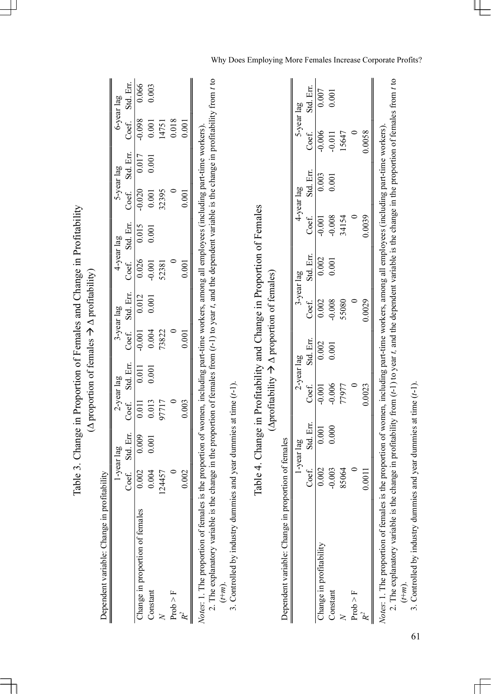|                                                                                                                                                                                                           |              |                                                                                                             |                    |                    |           | $(\Delta$ proportion of females $\rightarrow \Delta$ profitability) |            |           |            |            |            |           |
|-----------------------------------------------------------------------------------------------------------------------------------------------------------------------------------------------------------|--------------|-------------------------------------------------------------------------------------------------------------|--------------------|--------------------|-----------|---------------------------------------------------------------------|------------|-----------|------------|------------|------------|-----------|
| Dependent variable: Change in profitability                                                                                                                                                               |              |                                                                                                             |                    |                    |           |                                                                     |            |           |            |            |            |           |
|                                                                                                                                                                                                           |              | 1-year lag                                                                                                  |                    | 2-year lag         |           | 3-year lag                                                          | 4-year lag |           |            | 5-year lag | 6-year lag |           |
|                                                                                                                                                                                                           | Coef.        | Std. Err.                                                                                                   | Coef.              | Std. Err.          | Coef.     | Std. Err.                                                           | Coef.      | Std. Err. | Coef.      | Std. Err.  | Coef.      | Std. Err. |
| Change in proportion of females                                                                                                                                                                           | 0.002        | 0.009                                                                                                       | $\overline{0.011}$ | $\overline{0.011}$ | $-0.001$  | 0.012                                                               | 0.026      | 0.015     | $-0.020$   | 0.017      | $-0.098$   | 0.066     |
| Constant                                                                                                                                                                                                  | 0.004        | 0.001                                                                                                       | 0.013              | 0.001              | 0.004     | 0.001                                                               | $-0.001$   | 0.001     | 0.001      | 0.001      | 0.001      | 0.003     |
| $\overline{\mathsf{X}}$                                                                                                                                                                                   | 124457       |                                                                                                             | 97717              |                    | 73822     |                                                                     | 52381      |           | 32395      |            | 14751      |           |
| $\begin{array}{l} {\rm Prob} > {\rm F} \\ R^2 \end{array}$                                                                                                                                                | $\circ$      |                                                                                                             |                    |                    |           |                                                                     |            |           |            |            | 0.018      |           |
|                                                                                                                                                                                                           | 0.002        |                                                                                                             | 0.003              |                    | 0.001     |                                                                     | 0.001      |           | 0.001      |            | 0.001      |           |
| 2. The explanatory variable is the change in the proportion of females from $(t-1)$ to year t, and the dependent variable is the change in profitability from t to<br>Notes: 1. The proportion of females |              | is the proportion of women, including part-time workers, among all employees (including part-time workers)  |                    |                    |           |                                                                     |            |           |            |            |            |           |
| 3. Controlled by industry dummies and year dummies at time $(t-1)$ .<br>$\left(\stackrel{\text{t}}{t+m}\right)$ .                                                                                         |              |                                                                                                             |                    |                    |           |                                                                     |            |           |            |            |            |           |
|                                                                                                                                                                                                           |              | Table 4. Change in Profitability and Change in Proportion of Females                                        |                    |                    |           |                                                                     |            |           |            |            |            |           |
|                                                                                                                                                                                                           |              |                                                                                                             |                    |                    |           | (Aprofitability $\rightarrow \Delta$ proportion of females)         |            |           |            |            |            |           |
| Dependent variable: Change in proportion of females                                                                                                                                                       |              |                                                                                                             |                    |                    |           |                                                                     |            |           |            |            |            |           |
|                                                                                                                                                                                                           |              | l-year lag                                                                                                  |                    | 2-year lag         |           |                                                                     | 3-year lag |           | 4-year lag |            | 5-year lag |           |
|                                                                                                                                                                                                           | Coef.        | Std. Err.                                                                                                   |                    | Coef.              | Std. Err. | Coef.                                                               | Std. Err.  | Coef.     | Std. Err.  |            | Coef.      | Std. Err. |
| Change in profitability                                                                                                                                                                                   | 0.002        | 0.001                                                                                                       |                    | $-0.001$           | 0.002     | 0.002                                                               | 0.002      | $-0.001$  |            | 0.003      | $-0.006$   | 0.007     |
| Constant                                                                                                                                                                                                  | $-0.003$     | 0.000                                                                                                       |                    | $-0.006$           | 0.001     | $-0.008$                                                            | 0.001      | $-0.008$  |            | 0.001      | $-0.011$   | 0.001     |
|                                                                                                                                                                                                           | 85064        |                                                                                                             |                    | 77977              |           | 55080                                                               |            | 34154     |            |            | 15647      |           |
| Proof > F                                                                                                                                                                                                 | $\mathbf{C}$ |                                                                                                             |                    |                    |           |                                                                     |            |           |            |            |            |           |
| $\mathcal{R}^2$                                                                                                                                                                                           | 0.0011       |                                                                                                             |                    | 0.0023             |           | 0.0029                                                              |            | 0.0039    |            |            | 0.0058     |           |
| 2. The explanatory variable is the change in profitability from $(t-1)$ to year t, and the dependent variable is the change in the proportion of females from t to<br>Notes: 1. The proportion of females |              | is the proportion of women, including part-time workers, among all employees (including part-time workers). |                    |                    |           |                                                                     |            |           |            |            |            |           |

Table 3. Change in Proportion of Females and Change in Profitability Table 3. Change in Proportion of Females and Change in Profitability

61 3. Controlled by industry dummies and year dummies at time (t-1).

 $\widehat{\tau}$ m).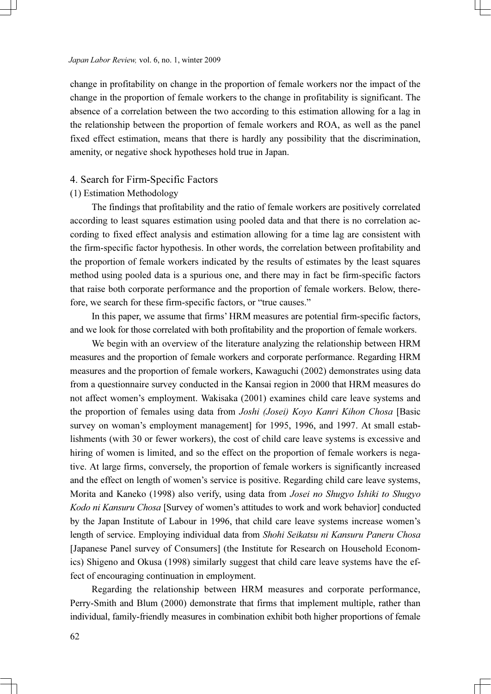change in profitability on change in the proportion of female workers nor the impact of the change in the proportion of female workers to the change in profitability is significant. The absence of a correlation between the two according to this estimation allowing for a lag in the relationship between the proportion of female workers and ROA, as well as the panel fixed effect estimation, means that there is hardly any possibility that the discrimination, amenity, or negative shock hypotheses hold true in Japan.

### 4. Search for Firm-Specific Factors

#### (1) Estimation Methodology

The findings that profitability and the ratio of female workers are positively correlated according to least squares estimation using pooled data and that there is no correlation according to fixed effect analysis and estimation allowing for a time lag are consistent with the firm-specific factor hypothesis. In other words, the correlation between profitability and the proportion of female workers indicated by the results of estimates by the least squares method using pooled data is a spurious one, and there may in fact be firm-specific factors that raise both corporate performance and the proportion of female workers. Below, therefore, we search for these firm-specific factors, or "true causes."

 In this paper, we assume that firms' HRM measures are potential firm-specific factors, and we look for those correlated with both profitability and the proportion of female workers.

 We begin with an overview of the literature analyzing the relationship between HRM measures and the proportion of female workers and corporate performance. Regarding HRM measures and the proportion of female workers, Kawaguchi (2002) demonstrates using data from a questionnaire survey conducted in the Kansai region in 2000 that HRM measures do not affect women's employment. Wakisaka (2001) examines child care leave systems and the proportion of females using data from Joshi (Josei) Koyo Kanri Kihon Chosa [Basic survey on woman's employment management for 1995, 1996, and 1997. At small establishments (with 30 or fewer workers), the cost of child care leave systems is excessive and hiring of women is limited, and so the effect on the proportion of female workers is negative. At large firms, conversely, the proportion of female workers is significantly increased and the effect on length of women's service is positive. Regarding child care leave systems, Morita and Kaneko (1998) also verify, using data from Josei no Shugyo Ishiki to Shugyo Kodo ni Kansuru Chosa [Survey of women's attitudes to work and work behavior] conducted by the Japan Institute of Labour in 1996, that child care leave systems increase women's length of service. Employing individual data from Shohi Seikatsu ni Kansuru Paneru Chosa [Japanese Panel survey of Consumers] (the Institute for Research on Household Economics) Shigeno and Okusa (1998) similarly suggest that child care leave systems have the effect of encouraging continuation in employment.

 Regarding the relationship between HRM measures and corporate performance, Perry-Smith and Blum (2000) demonstrate that firms that implement multiple, rather than individual, family-friendly measures in combination exhibit both higher proportions of female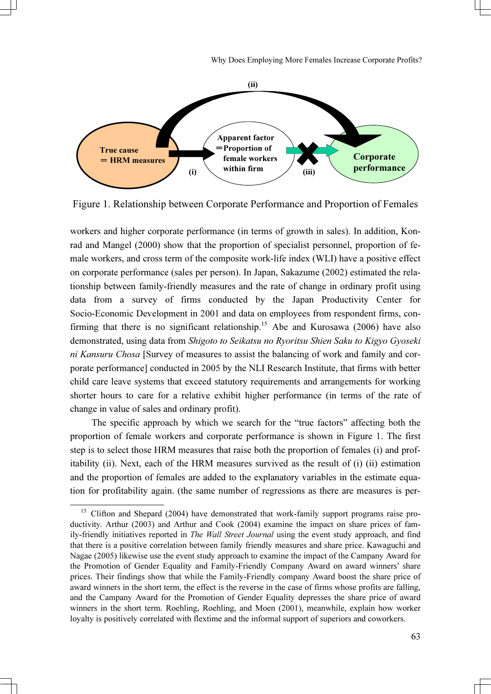

Figure 1. Relationship between Corporate Performance and Proportion of Females

workers and higher corporate performance (in terms of growth in sales). In addition, Konrad and Mangel (2000) show that the proportion of specialist personnel, proportion of female workers, and cross term of the composite work-life index (WLI) have a positive effect on corporate performance (sales per person). In Japan, Sakazume (2002) estimated the relationship between family-friendly measures and the rate of change in ordinary profit using data from a survey of firms conducted by the Japan Productivity Center for Socio-Economic Development in 2001 and data on employees from respondent firms, confirming that there is no significant relationship.<sup>15</sup> Abe and Kurosawa (2006) have also demonstrated, using data from Shigoto to Seikatsu no Ryoritsu Shien Saku to Kigyo Gyoseki ni Kansuru Chosa [Survey of measures to assist the balancing of work and family and corporate performance] conducted in 2005 by the NLI Research Institute, that firms with better child care leave systems that exceed statutory requirements and arrangements for working shorter hours to care for a relative exhibit higher performance (in terms of the rate of change in value of sales and ordinary profit).

 The specific approach by which we search for the "true factors" affecting both the proportion of female workers and corporate performance is shown in Figure 1. The first step is to select those HRM measures that raise both the proportion of females (i) and profitability (ii). Next, each of the HRM measures survived as the result of (i) (ii) estimation and the proportion of females are added to the explanatory variables in the estimate equation for profitability again. (the same number of regressions as there are measures is per-

 $15$  Clifton and Shepard (2004) have demonstrated that work-family support programs raise productivity. Arthur (2003) and Arthur and Cook (2004) examine the impact on share prices of family-friendly initiatives reported in *The Wall Street Journal* using the event study approach, and find that there is a positive correlation between family friendly measures and share price. Kawaguchi and Nagae (2005) likewise use the event study approach to examine the impact of the Campany Award for the Promotion of Gender Equality and Family-Friendly Company Award on award winners' share prices. Their findings show that while the Family-Friendly company Award boost the share price of award winners in the short term, the effect is the reverse in the case of firms whose profits are falling, and the Campany Award for the Promotion of Gender Equality depresses the share price of award winners in the short term. Roehling, Roehling, and Moen (2001), meanwhile, explain how worker loyalty is positively correlated with flextime and the informal support of superiors and coworkers.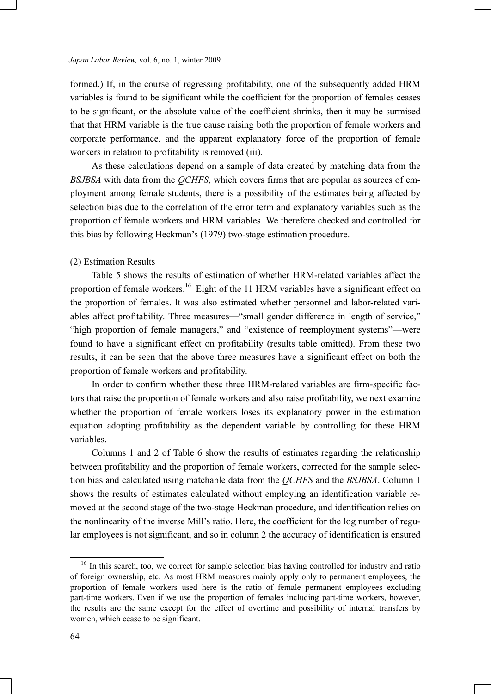formed.) If, in the course of regressing profitability, one of the subsequently added HRM variables is found to be significant while the coefficient for the proportion of females ceases to be significant, or the absolute value of the coefficient shrinks, then it may be surmised that that HRM variable is the true cause raising both the proportion of female workers and corporate performance, and the apparent explanatory force of the proportion of female workers in relation to profitability is removed (iii).

 As these calculations depend on a sample of data created by matching data from the BSJBSA with data from the OCHFS, which covers firms that are popular as sources of employment among female students, there is a possibility of the estimates being affected by selection bias due to the correlation of the error term and explanatory variables such as the proportion of female workers and HRM variables. We therefore checked and controlled for this bias by following Heckman's (1979) two-stage estimation procedure.

#### (2) Estimation Results

Table 5 shows the results of estimation of whether HRM-related variables affect the proportion of female workers.<sup>16</sup> Eight of the 11 HRM variables have a significant effect on the proportion of females. It was also estimated whether personnel and labor-related variables affect profitability. Three measures—"small gender difference in length of service," "high proportion of female managers," and "existence of reemployment systems"—were found to have a significant effect on profitability (results table omitted). From these two results, it can be seen that the above three measures have a significant effect on both the proportion of female workers and profitability.

 In order to confirm whether these three HRM-related variables are firm-specific factors that raise the proportion of female workers and also raise profitability, we next examine whether the proportion of female workers loses its explanatory power in the estimation equation adopting profitability as the dependent variable by controlling for these HRM variables.

 Columns 1 and 2 of Table 6 show the results of estimates regarding the relationship between profitability and the proportion of female workers, corrected for the sample selection bias and calculated using matchable data from the QCHFS and the BSJBSA. Column 1 shows the results of estimates calculated without employing an identification variable removed at the second stage of the two-stage Heckman procedure, and identification relies on the nonlinearity of the inverse Mill's ratio. Here, the coefficient for the log number of regular employees is not significant, and so in column 2 the accuracy of identification is ensured

<sup>&</sup>lt;sup>16</sup> In this search, too, we correct for sample selection bias having controlled for industry and ratio of foreign ownership, etc. As most HRM measures mainly apply only to permanent employees, the proportion of female workers used here is the ratio of female permanent employees excluding part-time workers. Even if we use the proportion of females including part-time workers, however, the results are the same except for the effect of overtime and possibility of internal transfers by women, which cease to be significant.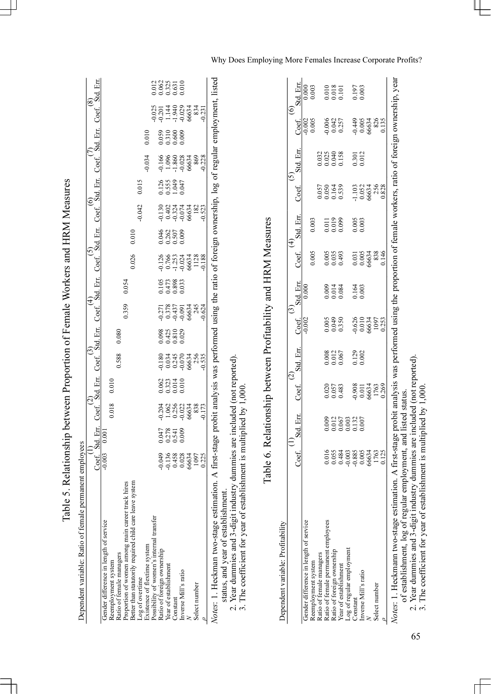| Dependent variable: Ratio of female permanent employees                                                                                                     |                                        |                      |                                          |                          |                                                   |                             |                                           |                               |                                               |                       |                                 |                       |                                             |                                  |                                           |                          |
|-------------------------------------------------------------------------------------------------------------------------------------------------------------|----------------------------------------|----------------------|------------------------------------------|--------------------------|---------------------------------------------------|-----------------------------|-------------------------------------------|-------------------------------|-----------------------------------------------|-----------------------|---------------------------------|-----------------------|---------------------------------------------|----------------------------------|-------------------------------------------|--------------------------|
|                                                                                                                                                             |                                        |                      |                                          |                          |                                                   |                             |                                           |                               |                                               |                       |                                 |                       |                                             |                                  |                                           |                          |
|                                                                                                                                                             | Coef. Std. Err.                        |                      |                                          |                          | Coef. Std. Err. Coef. Std. Err. Coef. Std. Err. ( |                             |                                           |                               |                                               |                       | Coef. Std. Err. Coef. Std. Err. |                       | Coef.                                       | Std. Err. Coef.                  |                                           |                          |
| Gender difference in length of service                                                                                                                      | 0.003                                  | 0.00                 |                                          |                          |                                                   |                             |                                           |                               |                                               |                       |                                 |                       |                                             |                                  |                                           |                          |
| Reemployment system                                                                                                                                         |                                        |                      | 0.018                                    | 0.010                    |                                                   |                             |                                           |                               |                                               |                       |                                 |                       |                                             |                                  |                                           |                          |
| Ratio of female managers                                                                                                                                    |                                        |                      |                                          |                          | 0.588                                             | 0.080                       |                                           |                               |                                               |                       |                                 |                       |                                             |                                  |                                           |                          |
| ck hires<br>Proportion of women among main career tra-                                                                                                      |                                        |                      |                                          |                          |                                                   |                             | 0.359                                     | 0.054                         |                                               |                       |                                 |                       |                                             |                                  |                                           |                          |
| system<br>Better than statutorily required child care leave                                                                                                 |                                        |                      |                                          |                          |                                                   |                             |                                           |                               | 0.026                                         | 0.010                 |                                 |                       |                                             |                                  |                                           |                          |
| Log of overtime                                                                                                                                             |                                        |                      |                                          |                          |                                                   |                             |                                           |                               |                                               |                       | 0.042                           | 0.015                 |                                             |                                  |                                           |                          |
| Existence of flextime system                                                                                                                                |                                        |                      |                                          |                          |                                                   |                             |                                           |                               |                                               |                       |                                 |                       | 0.034                                       | 0.010                            |                                           |                          |
| Possibility of women's internal transfer                                                                                                                    |                                        |                      |                                          |                          |                                                   |                             |                                           |                               |                                               |                       |                                 |                       |                                             |                                  |                                           |                          |
| Ratio of foreign ownership                                                                                                                                  |                                        |                      |                                          |                          |                                                   |                             |                                           |                               |                                               |                       |                                 |                       |                                             |                                  | 02014902345<br>02014902345<br>00034902345 | 11823<br>0.0325<br>0.030 |
| Year of establishment                                                                                                                                       | 9988834<br>0.1358834<br>0.0034<br>0.25 | 2373<br>2375<br>2006 | 304<br>1.0622<br>0.256<br>0.358<br>0.173 | 062335<br>0.000<br>0.000 | 0.034<br>0.034<br>0.034<br>0.054<br>0.054         | 0342029<br>0.425<br>0.0.0.0 |                                           | 105<br>1473<br>0.033<br>0.033 |                                               | 38258<br>2825<br>2020 | 00234482<br>00324482<br>0000000 | 11533<br>11533<br>110 |                                             | 0.059<br>0.310<br>0.000<br>0.000 |                                           |                          |
| Constant                                                                                                                                                    |                                        |                      |                                          |                          |                                                   |                             |                                           |                               |                                               |                       |                                 |                       |                                             |                                  |                                           |                          |
| Inverse Mill's ratio                                                                                                                                        |                                        |                      |                                          |                          |                                                   |                             |                                           |                               |                                               |                       |                                 |                       |                                             |                                  |                                           |                          |
|                                                                                                                                                             |                                        |                      |                                          |                          |                                                   |                             |                                           |                               |                                               |                       |                                 |                       |                                             |                                  |                                           |                          |
| Select number                                                                                                                                               |                                        |                      |                                          |                          |                                                   |                             |                                           |                               |                                               |                       |                                 |                       |                                             |                                  |                                           |                          |
|                                                                                                                                                             |                                        |                      |                                          |                          | 0.535                                             |                             | 7771<br>0.378<br>0.437<br>0.6634<br>0.624 |                               | 0.126<br>0.7653<br>0.2534<br>0.06534<br>0.128 |                       | 0.523                           |                       | 0.166<br>1.0960<br>1.0028<br>66634<br>6.028 |                                  |                                           |                          |
| Notes: 1. Heckman two-stage estimation. A first-stage probit analysis was performed using the ratio of foreign ownership, log of regular employment, listed |                                        |                      |                                          |                          |                                                   |                             |                                           |                               |                                               |                       |                                 |                       |                                             |                                  |                                           |                          |

Table 5. Relationship between Proportion of Female Workers and HRM Measures Table 5. Relationship between Proportion of Female Workers and HRM Measures

status, and year of establishment. status, and year of establishment.  $\sim$   $\lesssim$ 

2. Year dummies and 3-digit industry dummies are included (not reported).<br>3. The coefficient for year of establishment is multiplied by 1,000. 2. Year dummies and 3-digit industry dummies are included (not reported).

3. The coefficient for year of establishment is multiplied by 1,000.

| I                             |
|-------------------------------|
| Ĩ<br>⊒<br>⊒<br>こくさいしょう        |
| ţ<br>$\vdots$<br>i<br>l<br>l  |
|                               |
| $\frac{1}{2}$                 |
| י הויי היה<br>l<br>i<br>י     |
| í                             |
| í<br>$\overline{\phantom{a}}$ |

Dependent variable: Profitability Dependent variable: Profitability

| Dependent variable: Profitability                                                                                                                |       |           |                                 |                         |                         |           |                                    |                                               |                                  |                      |                                                     |                                                        |
|--------------------------------------------------------------------------------------------------------------------------------------------------|-------|-----------|---------------------------------|-------------------------|-------------------------|-----------|------------------------------------|-----------------------------------------------|----------------------------------|----------------------|-----------------------------------------------------|--------------------------------------------------------|
|                                                                                                                                                  |       |           |                                 |                         |                         |           |                                    |                                               |                                  | Ģ                    |                                                     |                                                        |
|                                                                                                                                                  | Coef. | Std. Err. | Coef.                           |                         | Coef.                   | Std. Err. | Coef.                              | Std. Fin:                                     | Coef.                            | Std. Err             | Coef.                                               | itd. Err.                                              |
| Gender difference in length of service                                                                                                           |       |           |                                 |                         | 0.002                   | 0.000     |                                    |                                               |                                  |                      |                                                     |                                                        |
| Reemployment system                                                                                                                              |       |           |                                 |                         |                         |           | 0.005                              | 0.003                                         |                                  |                      |                                                     | $0.000$<br>$0.003$                                     |
| Ratio of female managers                                                                                                                         |       |           |                                 |                         |                         |           |                                    |                                               |                                  |                      |                                                     |                                                        |
| Ratio of female permanent employees<br>Ratio of foreign ownership                                                                                |       |           |                                 |                         | 0.005<br>0.049<br>0.350 | 0.0034    |                                    |                                               | 0.057<br>0.050<br>0.539<br>0.539 | 3333<br>2335<br>2000 | 0005<br>0.006<br>0.04257<br>0.257                   |                                                        |
|                                                                                                                                                  |       |           | 0.020<br>0.057<br>0.483         | 0.000<br>0.012<br>0.067 |                         |           | 0.005<br>0.035<br>0.493            | 0.011<br>0.019<br>0.099                       |                                  |                      |                                                     | $\begin{array}{c} 0.010 \\ 0.018 \\ 0.101 \end{array}$ |
| Year of establishment                                                                                                                            |       |           |                                 |                         |                         |           |                                    |                                               |                                  |                      |                                                     |                                                        |
| Log of regular employment                                                                                                                        |       |           |                                 |                         |                         |           |                                    |                                               |                                  |                      |                                                     |                                                        |
| Constant                                                                                                                                         |       |           |                                 |                         |                         | 0.164     |                                    | $\begin{array}{c} 0.005 \\ 0.003 \end{array}$ |                                  | 0.301<br>0.012       |                                                     | 0.197<br>0.003                                         |
| Inverse Mill's ratio                                                                                                                             |       |           |                                 | 0.129<br>0.002          |                         |           |                                    |                                               |                                  |                      |                                                     |                                                        |
|                                                                                                                                                  |       |           |                                 |                         |                         |           |                                    |                                               |                                  |                      |                                                     |                                                        |
| Select number                                                                                                                                    |       |           | 0.013<br>0.0534<br>0.09<br>0.09 |                         |                         |           | 0.031<br>0.0634<br>0.0634<br>0.146 |                                               | 10324888                         |                      |                                                     |                                                        |
|                                                                                                                                                  |       |           |                                 |                         |                         |           |                                    |                                               |                                  |                      | $36834$<br>$3634$<br>$3634$<br>$36$<br>$35$<br>$35$ |                                                        |
| Note: I Heckmann tug-stage estimation A first stage probit analysis uses performed using the monotion of female until of foreign ournership year |       |           |                                 |                         |                         |           |                                    |                                               |                                  |                      |                                                     |                                                        |

Notes: 1. Heckmann two-stage estimation. A first-stage probit analysis was performed using the proportion of female workers, ratio of foreign ownership, year *Notes* : 1. Heckmann two-stage estimation. A first-stage probit analysis was performed using the proportion of female workers, ratio of foreign ownership, year<br>of establishment, log of regular employment, and listed statu of establishment, log of regular employment, and listed status.

2. Year dummies and 3-digit industry dummies are included (not reported).

3. The coefficient for year of establishment is multiplied by 1,000.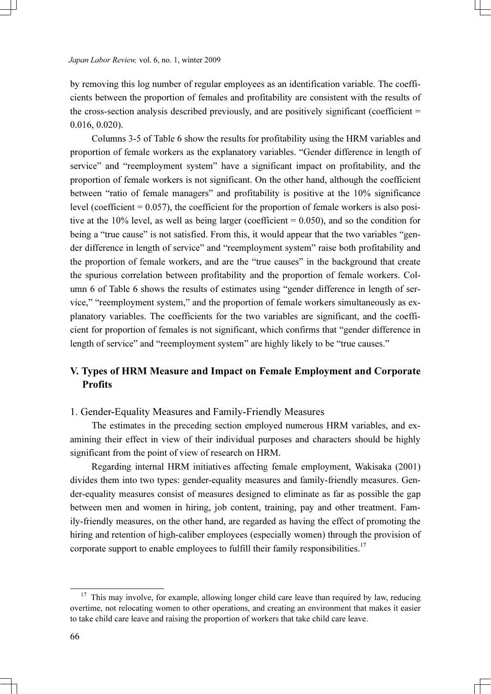by removing this log number of regular employees as an identification variable. The coefficients between the proportion of females and profitability are consistent with the results of the cross-section analysis described previously, and are positively significant (coefficient  $=$ 0.016, 0.020).

 Columns 3-5 of Table 6 show the results for profitability using the HRM variables and proportion of female workers as the explanatory variables. "Gender difference in length of service" and "reemployment system" have a significant impact on profitability, and the proportion of female workers is not significant. On the other hand, although the coefficient between "ratio of female managers" and profitability is positive at the 10% significance level (coefficient  $= 0.057$ ), the coefficient for the proportion of female workers is also positive at the  $10\%$  level, as well as being larger (coefficient = 0.050), and so the condition for being a "true cause" is not satisfied. From this, it would appear that the two variables "gender difference in length of service" and "reemployment system" raise both profitability and the proportion of female workers, and are the "true causes" in the background that create the spurious correlation between profitability and the proportion of female workers. Column 6 of Table 6 shows the results of estimates using "gender difference in length of service," "reemployment system," and the proportion of female workers simultaneously as explanatory variables. The coefficients for the two variables are significant, and the coefficient for proportion of females is not significant, which confirms that "gender difference in length of service" and "reemployment system" are highly likely to be "true causes."

# V. Types of HRM Measure and Impact on Female Employment and Corporate **Profits**

1. Gender-Equality Measures and Family-Friendly Measures

The estimates in the preceding section employed numerous HRM variables, and examining their effect in view of their individual purposes and characters should be highly significant from the point of view of research on HRM.

 Regarding internal HRM initiatives affecting female employment, Wakisaka (2001) divides them into two types: gender-equality measures and family-friendly measures. Gender-equality measures consist of measures designed to eliminate as far as possible the gap between men and women in hiring, job content, training, pay and other treatment. Family-friendly measures, on the other hand, are regarded as having the effect of promoting the hiring and retention of high-caliber employees (especially women) through the provision of corporate support to enable employees to fulfill their family responsibilities.<sup>17</sup>

<sup>&</sup>lt;sup>17</sup> This may involve, for example, allowing longer child care leave than required by law, reducing overtime, not relocating women to other operations, and creating an environment that makes it easier to take child care leave and raising the proportion of workers that take child care leave.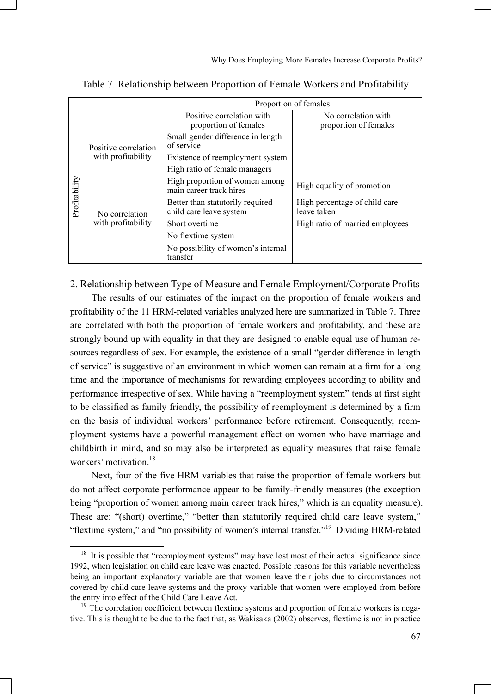|               |                      |                                                             | Proportion of females                        |
|---------------|----------------------|-------------------------------------------------------------|----------------------------------------------|
|               |                      | Positive correlation with<br>proportion of females          | No correlation with<br>proportion of females |
|               | Positive correlation | Small gender difference in length<br>of service             |                                              |
|               | with profitability   | Existence of reemployment system                            |                                              |
|               |                      | High ratio of female managers                               |                                              |
|               |                      | High proportion of women among<br>main career track hires   | High equality of promotion                   |
| Profitability | No correlation       | Better than statutorily required<br>child care leave system | High percentage of child care<br>leave taken |
|               | with profitability   | Short overtime                                              | High ratio of married employees              |
|               |                      | No flextime system                                          |                                              |
|               |                      | No possibility of women's internal<br>transfer              |                                              |

Table 7. Relationship between Proportion of Female Workers and Profitability

# 2. Relationship between Type of Measure and Female Employment/Corporate Profits

The results of our estimates of the impact on the proportion of female workers and profitability of the 11 HRM-related variables analyzed here are summarized in Table 7. Three are correlated with both the proportion of female workers and profitability, and these are strongly bound up with equality in that they are designed to enable equal use of human resources regardless of sex. For example, the existence of a small "gender difference in length of service" is suggestive of an environment in which women can remain at a firm for a long time and the importance of mechanisms for rewarding employees according to ability and performance irrespective of sex. While having a "reemployment system" tends at first sight to be classified as family friendly, the possibility of reemployment is determined by a firm on the basis of individual workers' performance before retirement. Consequently, reemployment systems have a powerful management effect on women who have marriage and childbirth in mind, and so may also be interpreted as equality measures that raise female workers' motivation.<sup>18</sup>

 Next, four of the five HRM variables that raise the proportion of female workers but do not affect corporate performance appear to be family-friendly measures (the exception being "proportion of women among main career track hires," which is an equality measure). These are: "(short) overtime," "better than statutorily required child care leave system," "flextime system," and "no possibility of women's internal transfer."<sup>19</sup> Dividing HRM-related

<sup>&</sup>lt;sup>18</sup> It is possible that "reemployment systems" may have lost most of their actual significance since 1992, when legislation on child care leave was enacted. Possible reasons for this variable nevertheless being an important explanatory variable are that women leave their jobs due to circumstances not covered by child care leave systems and the proxy variable that women were employed from before the entry into effect of the Child Care Leave Act.<br><sup>19</sup> The correlation coefficient between flextime systems and proportion of female workers is nega-

tive. This is thought to be due to the fact that, as Wakisaka (2002) observes, flextime is not in practice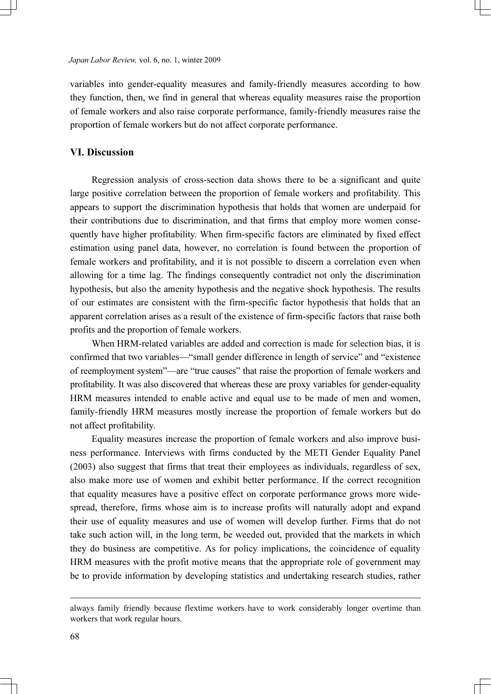variables into gender-equality measures and family-friendly measures according to how they function, then, we find in general that whereas equality measures raise the proportion of female workers and also raise corporate performance, family-friendly measures raise the proportion of female workers but do not affect corporate performance.

# VI. Discussion

Regression analysis of cross-section data shows there to be a significant and quite large positive correlation between the proportion of female workers and profitability. This appears to support the discrimination hypothesis that holds that women are underpaid for their contributions due to discrimination, and that firms that employ more women consequently have higher profitability. When firm-specific factors are eliminated by fixed effect estimation using panel data, however, no correlation is found between the proportion of female workers and profitability, and it is not possible to discern a correlation even when allowing for a time lag. The findings consequently contradict not only the discrimination hypothesis, but also the amenity hypothesis and the negative shock hypothesis. The results of our estimates are consistent with the firm-specific factor hypothesis that holds that an apparent correlation arises as a result of the existence of firm-specific factors that raise both profits and the proportion of female workers.

 When HRM-related variables are added and correction is made for selection bias, it is confirmed that two variables—"small gender difference in length of service" and "existence of reemployment system"—are "true causes" that raise the proportion of female workers and profitability. It was also discovered that whereas these are proxy variables for gender-equality HRM measures intended to enable active and equal use to be made of men and women, family-friendly HRM measures mostly increase the proportion of female workers but do not affect profitability.

 Equality measures increase the proportion of female workers and also improve business performance. Interviews with firms conducted by the METI Gender Equality Panel (2003) also suggest that firms that treat their employees as individuals, regardless of sex, also make more use of women and exhibit better performance. If the correct recognition that equality measures have a positive effect on corporate performance grows more widespread, therefore, firms whose aim is to increase profits will naturally adopt and expand their use of equality measures and use of women will develop further. Firms that do not take such action will, in the long term, be weeded out, provided that the markets in which they do business are competitive. As for policy implications, the coincidence of equality HRM measures with the profit motive means that the appropriate role of government may be to provide information by developing statistics and undertaking research studies, rather

 $\overline{a}$ 

always family friendly because flextime workers have to work considerably longer overtime than workers that work regular hours.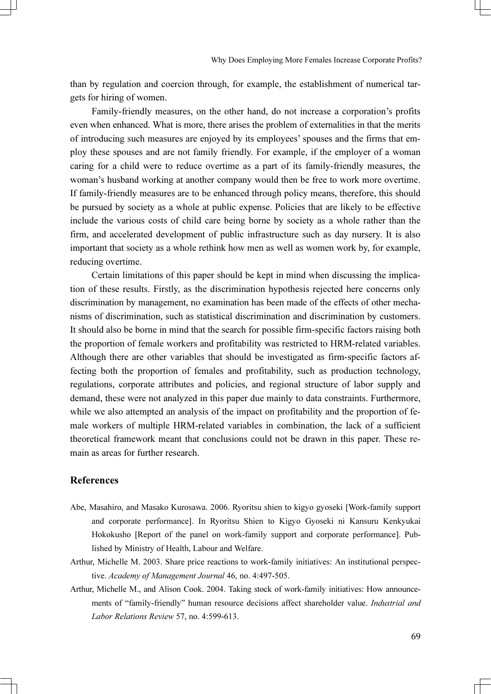than by regulation and coercion through, for example, the establishment of numerical targets for hiring of women.

 Family-friendly measures, on the other hand, do not increase a corporation's profits even when enhanced. What is more, there arises the problem of externalities in that the merits of introducing such measures are enjoyed by its employees' spouses and the firms that employ these spouses and are not family friendly. For example, if the employer of a woman caring for a child were to reduce overtime as a part of its family-friendly measures, the woman's husband working at another company would then be free to work more overtime. If family-friendly measures are to be enhanced through policy means, therefore, this should be pursued by society as a whole at public expense. Policies that are likely to be effective include the various costs of child care being borne by society as a whole rather than the firm, and accelerated development of public infrastructure such as day nursery. It is also important that society as a whole rethink how men as well as women work by, for example, reducing overtime.

 Certain limitations of this paper should be kept in mind when discussing the implication of these results. Firstly, as the discrimination hypothesis rejected here concerns only discrimination by management, no examination has been made of the effects of other mechanisms of discrimination, such as statistical discrimination and discrimination by customers. It should also be borne in mind that the search for possible firm-specific factors raising both the proportion of female workers and profitability was restricted to HRM-related variables. Although there are other variables that should be investigated as firm-specific factors affecting both the proportion of females and profitability, such as production technology, regulations, corporate attributes and policies, and regional structure of labor supply and demand, these were not analyzed in this paper due mainly to data constraints. Furthermore, while we also attempted an analysis of the impact on profitability and the proportion of female workers of multiple HRM-related variables in combination, the lack of a sufficient theoretical framework meant that conclusions could not be drawn in this paper. These remain as areas for further research.

### References

- Abe, Masahiro, and Masako Kurosawa. 2006. Ryoritsu shien to kigyo gyoseki [Work-family support and corporate performance]. In Ryoritsu Shien to Kigyo Gyoseki ni Kansuru Kenkyukai Hokokusho [Report of the panel on work-family support and corporate performance]. Published by Ministry of Health, Labour and Welfare.
- Arthur, Michelle M. 2003. Share price reactions to work-family initiatives: An institutional perspective. Academy of Management Journal 46, no. 4:497-505.
- Arthur, Michelle M., and Alison Cook. 2004. Taking stock of work-family initiatives: How announcements of "family-friendly" human resource decisions affect shareholder value. Industrial and Labor Relations Review 57, no. 4:599-613.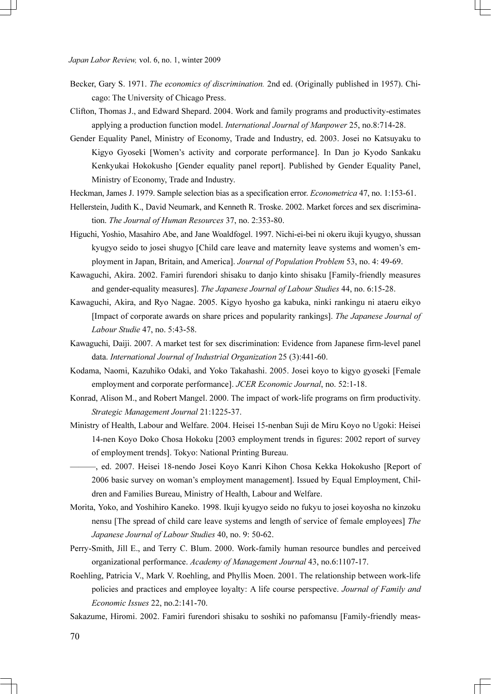- Becker, Gary S. 1971. The economics of discrimination. 2nd ed. (Originally published in 1957). Chicago: The University of Chicago Press.
- Clifton, Thomas J., and Edward Shepard. 2004. Work and family programs and productivity-estimates applying a production function model. International Journal of Manpower 25, no.8:714-28.
- Gender Equality Panel, Ministry of Economy, Trade and Industry, ed. 2003. Josei no Katsuyaku to Kigyo Gyoseki [Women's activity and corporate performance]. In Dan jo Kyodo Sankaku Kenkyukai Hokokusho [Gender equality panel report]. Published by Gender Equality Panel, Ministry of Economy, Trade and Industry.
- Heckman, James J. 1979. Sample selection bias as a specification error. Econometrica 47, no. 1:153-61.
- Hellerstein, Judith K., David Neumark, and Kenneth R. Troske. 2002. Market forces and sex discrimination. The Journal of Human Resources 37, no. 2:353-80.
- Higuchi, Yoshio, Masahiro Abe, and Jane Woaldfogel. 1997. Nichi-ei-bei ni okeru ikuji kyugyo, shussan kyugyo seido to josei shugyo [Child care leave and maternity leave systems and women's employment in Japan, Britain, and America]. Journal of Population Problem 53, no. 4: 49-69.
- Kawaguchi, Akira. 2002. Famiri furendori shisaku to danjo kinto shisaku [Family-friendly measures and gender-equality measures]. The Japanese Journal of Labour Studies 44, no. 6:15-28.
- Kawaguchi, Akira, and Ryo Nagae. 2005. Kigyo hyosho ga kabuka, ninki rankingu ni ataeru eikyo [Impact of corporate awards on share prices and popularity rankings]. The Japanese Journal of Labour Studie 47, no. 5:43-58.
- Kawaguchi, Daiji. 2007. A market test for sex discrimination: Evidence from Japanese firm-level panel data. International Journal of Industrial Organization 25 (3):441-60.
- Kodama, Naomi, Kazuhiko Odaki, and Yoko Takahashi. 2005. Josei koyo to kigyo gyoseki [Female employment and corporate performance]. JCER Economic Journal, no. 52:1-18.
- Konrad, Alison M., and Robert Mangel. 2000. The impact of work-life programs on firm productivity. Strategic Management Journal 21:1225-37.
- Ministry of Health, Labour and Welfare. 2004. Heisei 15-nenban Suji de Miru Koyo no Ugoki: Heisei 14-nen Koyo Doko Chosa Hokoku [2003 employment trends in figures: 2002 report of survey of employment trends]. Tokyo: National Printing Bureau.
	- ———, ed. 2007. Heisei 18-nendo Josei Koyo Kanri Kihon Chosa Kekka Hokokusho [Report of 2006 basic survey on woman's employment management]. Issued by Equal Employment, Children and Families Bureau, Ministry of Health, Labour and Welfare.
- Morita, Yoko, and Yoshihiro Kaneko. 1998. Ikuji kyugyo seido no fukyu to josei koyosha no kinzoku nensu [The spread of child care leave systems and length of service of female employees] The Japanese Journal of Labour Studies 40, no. 9: 50-62.
- Perry-Smith, Jill E., and Terry C. Blum. 2000. Work-family human resource bundles and perceived organizational performance. Academy of Management Journal 43, no.6:1107-17.
- Roehling, Patricia V., Mark V. Roehling, and Phyllis Moen. 2001. The relationship between work-life policies and practices and employee loyalty: A life course perspective. Journal of Family and Economic Issues 22, no.2:141-70.
- Sakazume, Hiromi. 2002. Famiri furendori shisaku to soshiki no pafomansu [Family-friendly meas-